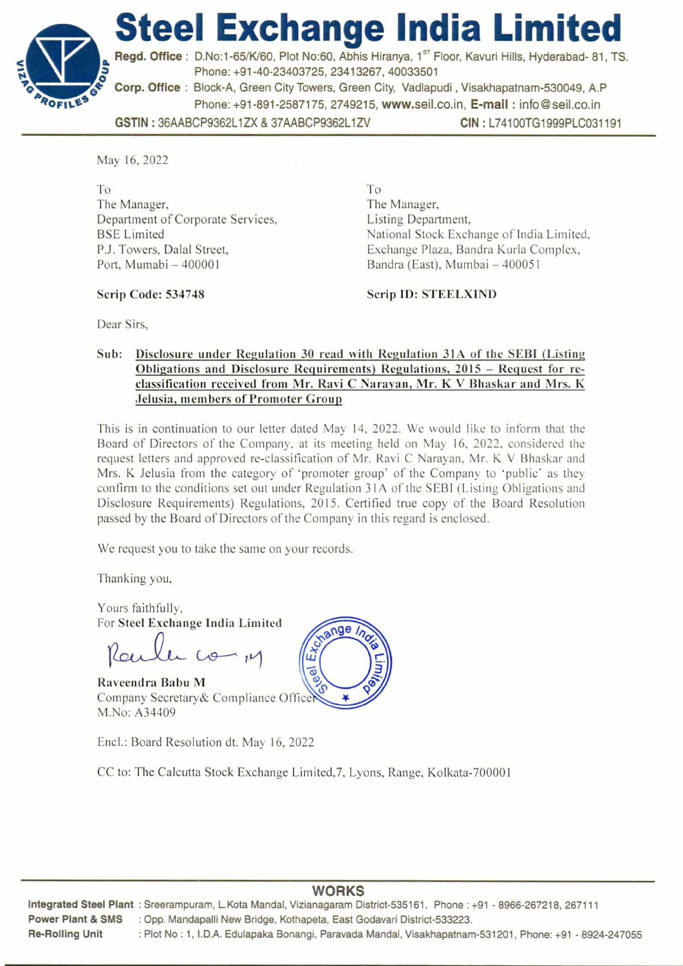

Regd. Office : D.No:1-65/K/60, Plot No:60, Abhis Hiranya, 1<sup>st</sup> Floor, Kavuri Hills, Hyderabad- 81, TS. Phone: +91-40-23403725, 23413267, 40033501

Corp. Office : Block-A, Green City Towers, Green City, Vadlapudi , Visakhapatnam-530049, A.P Phone: +91-891-2587175, 2749215, www.seil.co.in, E-mail : info@seil.co.in

GSTIN : 36AABCP9362L1ZX & 37AABCP9362L1ZV CIN : L74100TG1999PLC031191

May 16, 2022

ROFILES

To The Manager, Department of Corporate Services, BSE Limited P.J. Towers, Dalal Street, Port, Mumabi — 400001

To The Manager, Listing Department, National Stock Exchange of India Limited, Exchange Plaza, Bandra Kurla Complex, Bandra (East), Mumbai — 400051

Scrip Code: 534748

**Scrip ID: STEELXIND** 

Dear Sirs,

#### **Sub: Disclosure under Regulation 30 read with Regulation 31A of the SEBI (Listing Obligations and Disclosure Requirements) Regulations, 2015 — Request for reclassification received from Mr. Ravi C Narayan, Mr. K V Bhaskar and Mrs. K Jelusia, members of Promoter Group**

This is in continuation to our letter dated May 14, 2022. We would like to inform that the Board of Directors of the Company, at its meeting held on May 16, 2022, considered the request letters and approved re-classification of Mr. Ravi C Narayan, Mr. K V Bhaskar and Mrs. K Jelusia from the category of 'promoter group' of the Company to 'public' as they confirm to the conditions set out under Regulation 31A of the SEBI (Listing Obligations and Disclosure Requirements) Regulations, 2015. Certified true copy of the Board Resolution passed by the Board of Directors of the Company in this regard is enclosed.

We request you to take the same on your records.

Thanking you,

Yours faithfully, For **Steel Exchange India Limited** 

C

**Raveendra Babu M**  Company Secretary& Compliance Office M.No: A34409

Encl.: Board Resolution dt. May 16, 2022

CC to: The Calcutta Stock Exchange Limited,7, Lyons, Range, Kolkata-700001



# **WORKS Integrated Steel Plant :** Sreerampuram, L.Kota Mandal, Vizianagaram District-535161. Phone : +91 - 8966-267218, 267111 **Re-Rolling Unit :** Plot No : 1, I.D.A. Edulapaka Bonangi, Paravada Mandal, Visakhapatnam-531201, Phone: +91 - 8924-247055

**Power Plant & SMS :** Opp. Mandapalli New Bridge, Kothapeta, East Godavari District-533223.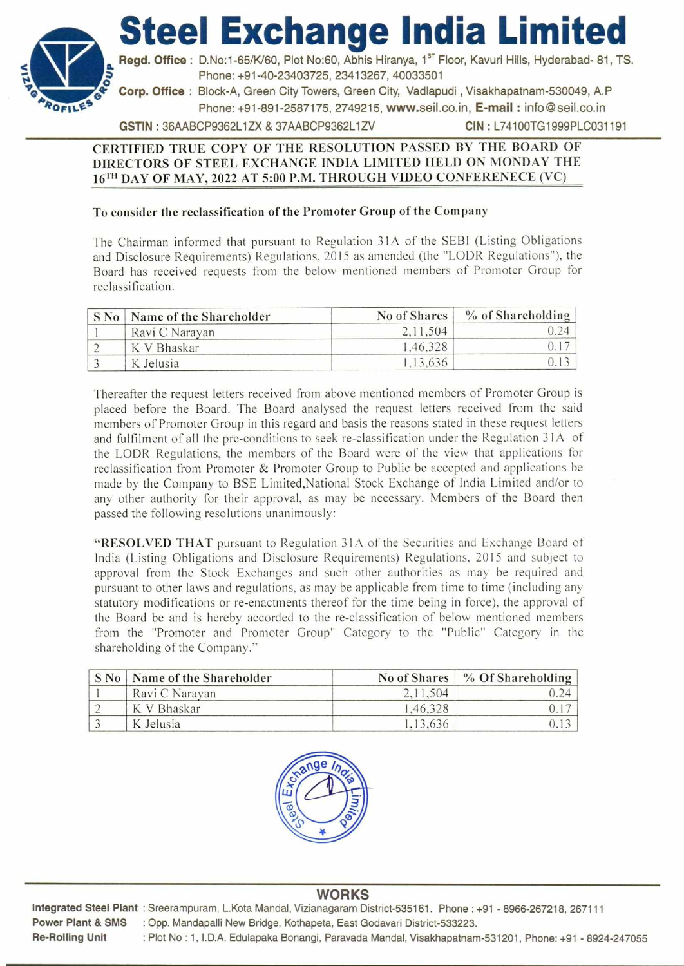**Steel Exchange India Limited** 



Regd. Office : D.No:1-65/K/60, Plot No:60, Abhis Hiranya, 1<sup>st</sup> Floor, Kavuri Hills, Hyderabad- 81, TS. Phone: +91-40-23403725, 23413267, 40033501

**4-Corp. Office :** Block-A, Green City Towers, Green City, Vadlapudi , Visakhapatnam-530049, A.P Phone: +91-891-2587175, 2749215, www.seil.co.in, E-mail : info@seil.co.in

GSTIN : 36AABCP9362L1ZX & 37AABCP9362L1ZV CIN : L74100TG1999PLC031191

### **CERTIFIED TRUE COPY OF THE RESOLUTION PASSED BY THE BOARD OF DIRECTORS OF STEEL EXCHANGE INDIA LIMITED HELD ON MONDAY THE 16TH DAY OF MAY, 2022 AT 5:00 P.M. THROUGH VIDEO CONFERENECE (VC)**

### **To consider the reclassification of the Promoter Group of the Company**

The Chairman informed that pursuant to Regulation 31A of the SEBI (Listing Obligations and Disclosure Requirements) Regulations, 2015 as amended (the "LODR Regulations"), the Board has received requests from the below mentioned members of Promoter Group for reclassification.

| $S$ No. | Name of the Shareholder | No of Shares | $%$ of Shareholding |
|---------|-------------------------|--------------|---------------------|
|         | Ravi C Narayan          | 2, 11, 504   |                     |
|         | K V Bhaskar             | 1.46.328     |                     |
|         | K Jelusia               | .13,636      |                     |

Thereafter the request letters received from above mentioned members of Promoter Group is placed before the Board. The Board analysed the request letters received from the said members of Promoter Group in this regard and basis the reasons stated in these request letters and fulfilment of all the pre-conditions to seek re-classification under the Regulation 31A of the LODR Regulations, the members of the Board were of the view that applications for reclassification from Promoter & Promoter Group to Public be accepted and applications be made by the Company to BSE Limited,National Stock Exchange of India Limited and/or to any other authority for their approval, as may be necessary. Members of the Board then passed the following resolutions unanimously:

**"RESOLVED THAT** pursuant to Regulation 3IA of the Securities and Exchange Board of India (Listing Obligations and Disclosure Requirements) Regulations, 2015 and subject to approval from the Stock Exchanges and such other authorities as may be required and pursuant to other laws and regulations, as may be applicable from time to time (including any statutory modifications or re-enactments thereof for the time being in force), the approval of the Board be and is hereby accorded to the re-classification of below mentioned members from the "Promoter and Promoter Group" Category to the "Public" Category in the shareholding of the Company."

| S No   Name of the Shareholder | No of Shares | % Of Shareholding |
|--------------------------------|--------------|-------------------|
| Ravi C Narayan                 | 2, 11, 504   |                   |
| K V Bhaskar                    | 1,46,328     |                   |
| K Jelusia                      | .13.636      |                   |



## **WORKS**

**Integrated Steel Plant :** Sreerampuram, L.Kota Mandal, Vizianagaram District-535161. Phone : +91 - 8966-267218, 267111 **Power Plant & SMS :** Opp. Mandapalli New Bridge, Kothapeta, East Godavari District-533223. **Re-Rolling Unit :** Plot No : 1, I.D.A. Edulapaka Bonangi, Paravada Mandal, Visakhapatnam-531201, Phone: +91 - 8924-247055